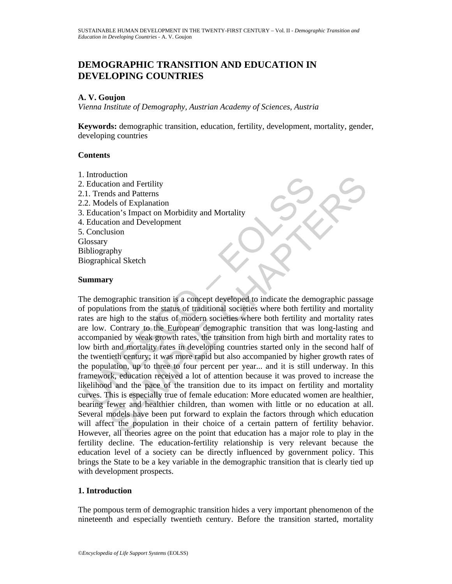# **DEMOGRAPHIC TRANSITION AND EDUCATION IN DEVELOPING COUNTRIES**

## **A. V. Goujon**

*Vienna Institute of Demography, Austrian Academy of Sciences, Austria* 

**Keywords:** demographic transition, education, fertility, development, mortality, gender, developing countries

# **Contents**

1. Introduction 2. Education and Fertility 2.1. Trends and Patterns 2.2. Models of Explanation 3. Education's Impact on Morbidity and Mortality 4. Education and Development 5. Conclusion **Glossary** Bibliography Biographical Sketch

### **Summary**

Intoucation<br>
Education and Fertility<br>
1. Trends and Patterns<br>
2. Models of Explanation<br>
Education's Impact on Morbidity and Mortality<br>
Education's Empact on Morbidity and Mortality<br>
Conclusion<br>
Ilosgraphy<br>
iographical Sket Example the most and Pertility<br>to and Pertility<br>ds and Patterns<br>tion and Fertility<br>ds and Patterns<br>tion's Impact on Morbidity and Mortality<br>tion and Development<br>tion's Impact on Morbidity and Mortality<br>tion and Development The demographic transition is a concept developed to indicate the demographic passage of populations from the status of traditional societies where both fertility and mortality rates are high to the status of modern societies where both fertility and mortality rates are low. Contrary to the European demographic transition that was long-lasting and accompanied by weak growth rates, the transition from high birth and mortality rates to low birth and mortality rates in developing countries started only in the second half of the twentieth century; it was more rapid but also accompanied by higher growth rates of the population, up to three to four percent per year... and it is still underway. In this framework, education received a lot of attention because it was proved to increase the likelihood and the pace of the transition due to its impact on fertility and mortality curves. This is especially true of female education: More educated women are healthier, bearing fewer and healthier children, than women with little or no education at all. Several models have been put forward to explain the factors through which education will affect the population in their choice of a certain pattern of fertility behavior. However, all theories agree on the point that education has a major role to play in the fertility decline. The education-fertility relationship is very relevant because the education level of a society can be directly influenced by government policy. This brings the State to be a key variable in the demographic transition that is clearly tied up with development prospects.

# **1. Introduction**

The pompous term of demographic transition hides a very important phenomenon of the nineteenth and especially twentieth century. Before the transition started, mortality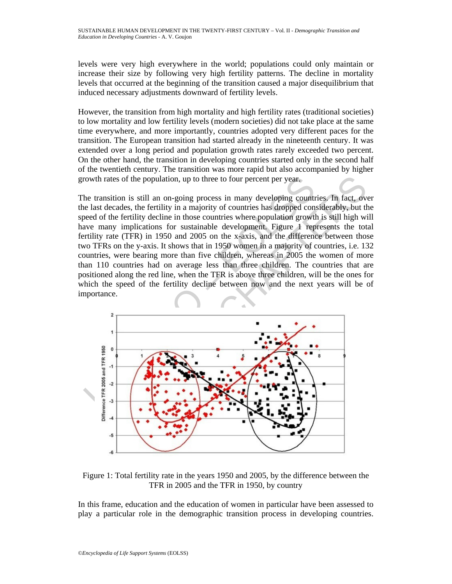levels were very high everywhere in the world; populations could only maintain or increase their size by following very high fertility patterns. The decline in mortality levels that occurred at the beginning of the transition caused a major disequilibrium that induced necessary adjustments downward of fertility levels.

However, the transition from high mortality and high fertility rates (traditional societies) to low mortality and low fertility levels (modern societies) did not take place at the same time everywhere, and more importantly, countries adopted very different paces for the transition. The European transition had started already in the nineteenth century. It was extended over a long period and population growth rates rarely exceeded two percent. On the other hand, the transition in developing countries started only in the second half of the twentieth century. The transition was more rapid but also accompanied by higher growth rates of the population, up to three to four percent per year.

The transition is still an on-going process in many developing countries. In fact, over the last decades, the fertility in a majority of countries has dropped considerably, but the speed of the fertility decline in those countries where population growth is still high will have many implications for sustainable development. Figure 1 represents the total fertility rate (TFR) in 1950 and 2005 on the x-axis, and the difference between those two TFRs on the y-axis. It shows that in 1950 women in a majority of countries, i.e. 132 countries, were bearing more than five children, whereas in 2005 the women of more than 110 countries had on average less than three children. The countries that are positioned along the red line, when the TFR is above three children, will be the ones for which the speed of the fertility decline between now and the next years will be of importance.



Figure 1: Total fertility rate in the years 1950 and 2005, by the difference between the TFR in 2005 and the TFR in 1950, by country

In this frame, education and the education of women in particular have been assessed to play a particular role in the demographic transition process in developing countries.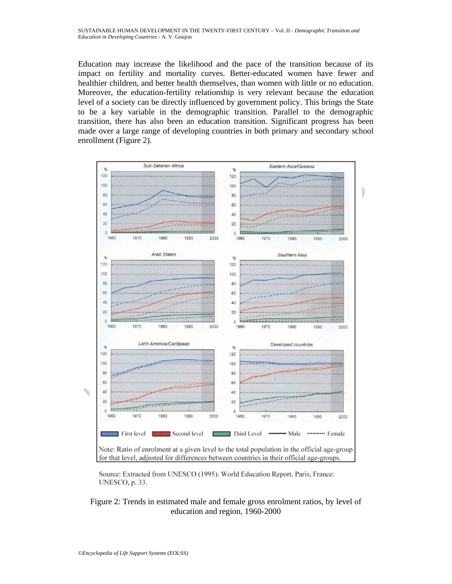Education may increase the likelihood and the pace of the transition because of its impact on fertility and mortality curves. Better-educated women have fewer and healthier children, and better health themselves, than women with little or no education. Moreover, the education-fertility relationship is very relevant because the education level of a society can be directly influenced by government policy. This brings the State to be a key variable in the demographic transition. Parallel to the demographic transition, there has also been an education transition. Significant progress has been made over a large range of developing countries in both primary and secondary school enrollment (Figure 2).



Source: Extracted from UNESCO (1995). World Education Report. Paris, France: UNESCO, p. 33.

### Figure 2: Trends in estimated male and female gross enrolment ratios, by level of education and region, 1960-2000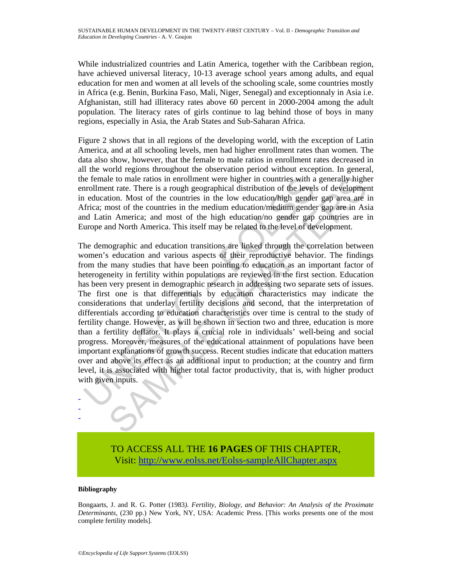While industrialized countries and Latin America, together with the Caribbean region, have achieved universal literacy, 10-13 average school years among adults, and equal education for men and women at all levels of the schooling scale, some countries mostly in Africa (e.g. Benin, Burkina Faso, Mali, Niger, Senegal) and exceptionnaly in Asia i.e. Afghanistan, still had illiteracy rates above 60 percent in 2000-2004 among the adult population. The literacy rates of girls continue to lag behind those of boys in many regions, especially in Asia, the Arab States and Sub-Saharan Africa.

Figure 2 shows that in all regions of the developing world, with the exception of Latin America, and at all schooling levels, men had higher enrollment rates than women. The data also show, however, that the female to male ratios in enrollment rates decreased in all the world regions throughout the observation period without exception. In general, the female to male ratios in enrollment were higher in countries with a generally higher enrollment rate. There is a rough geographical distribution of the levels of development in education. Most of the countries in the low education/high gender gap area are in Africa; most of the countries in the medium education/medium gender gap are in Asia and Latin America; and most of the high education/no gender gap countries are in Europe and North America. This itself may be related to the level of development.

is efferal to male ratios in enrollment were higher in countries with a<br>nonllment rate. There is a rough geographical distribution of the level<br>is education. Most of the countries in the low ducation/high gendel<br>frica; mos le to male ratios in enrollment were higher in countries with a generally hight trate. There is a rough geographical distribution of the levels of development into. Most of the countries in the low education/medium gender The demographic and education transitions are linked through the correlation between women's education and various aspects of their reproductive behavior. The findings from the many studies that have been pointing to education as an important factor of heterogeneity in fertility within populations are reviewed in the first section. Education has been very present in demographic research in addressing two separate sets of issues. The first one is that differentials by education characteristics may indicate the considerations that underlay fertility decisions and second, that the interpretation of differentials according to education characteristics over time is central to the study of fertility change. However, as will be shown in section two and three, education is more than a fertility deflator. It plays a crucial role in individuals' well-being and social progress. Moreover, measures of the educational attainment of populations have been important explanations of growth success. Recent studies indicate that education matters over and above its effect as an additional input to production; at the country and firm level, it is associated with higher total factor productivity, that is, with higher product with given inputs.

> TO ACCESS ALL THE **16 PAGES** OF THIS CHAPTER, Visit[: http://www.eolss.net/Eolss-sampleAllChapter.aspx](https://www.eolss.net/ebooklib/sc_cart.aspx?File=E6-60-03-08)

#### **Bibliography**

- - -

Bongaarts, J. and R. G. Potter (1983*). Fertility, Biology, and Behavior: An Analysis of the Proximate Determinants*, (230 pp.) New York, NY, USA: Academic Press. [This works presents one of the most complete fertility models].